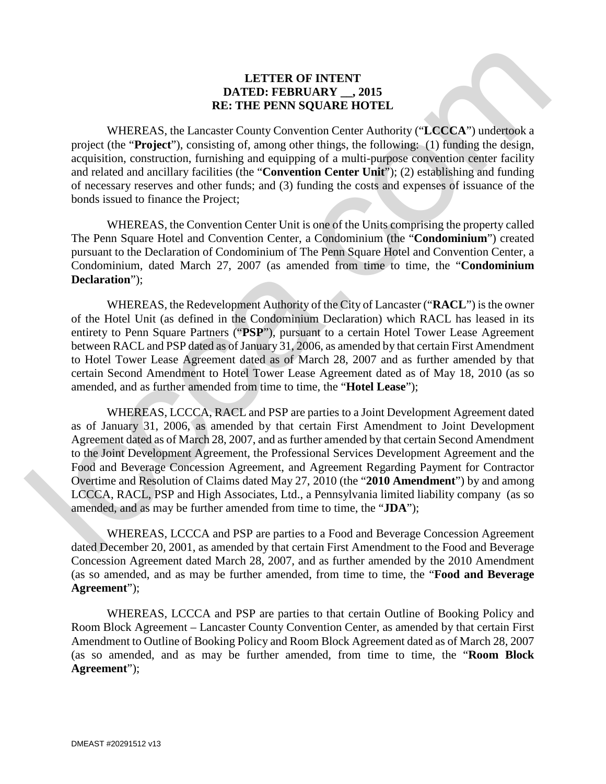## **LETTER OF INTENT DATED: FEBRUARY \_\_, 2015 RE: THE PENN SQUARE HOTEL**

WHEREAS, the Lancaster County Convention Center Authority ("**LCCCA**") undertook a project (the "**Project**"), consisting of, among other things, the following: (1) funding the design, acquisition, construction, furnishing and equipping of a multi-purpose convention center facility and related and ancillary facilities (the "**Convention Center Unit**"); (2) establishing and funding of necessary reserves and other funds; and (3) funding the costs and expenses of issuance of the bonds issued to finance the Project;

WHEREAS, the Convention Center Unit is one of the Units comprising the property called The Penn Square Hotel and Convention Center, a Condominium (the "**Condominium**") created pursuant to the Declaration of Condominium of The Penn Square Hotel and Convention Center, a Condominium, dated March 27, 2007 (as amended from time to time, the "**Condominium Declaration**");

WHEREAS, the Redevelopment Authority of the City of Lancaster ("**RACL**") is the owner of the Hotel Unit (as defined in the Condominium Declaration) which RACL has leased in its entirety to Penn Square Partners ("**PSP**"), pursuant to a certain Hotel Tower Lease Agreement between RACL and PSP dated as of January 31, 2006, as amended by that certain First Amendment to Hotel Tower Lease Agreement dated as of March 28, 2007 and as further amended by that certain Second Amendment to Hotel Tower Lease Agreement dated as of May 18, 2010 (as so amended, and as further amended from time to time, the "**Hotel Lease**");

WHEREAS, LCCCA, RACL and PSP are parties to a Joint Development Agreement dated as of January 31, 2006, as amended by that certain First Amendment to Joint Development Agreement dated as of March 28, 2007, and as further amended by that certain Second Amendment to the Joint Development Agreement, the Professional Services Development Agreement and the Food and Beverage Concession Agreement, and Agreement Regarding Payment for Contractor Overtime and Resolution of Claims dated May 27, 2010 (the "**2010 Amendment**") by and among LCCCA, RACL, PSP and High Associates, Ltd., a Pennsylvania limited liability company (as so amended, and as may be further amended from time to time, the "**JDA**"); **EXTER AS: REFEREAS: REFEREAS: REFEREAT: REFEREAT: REFEREAT: REFEREAT: REFEREAT: REFEREAT: REFEREAT: REFEREAT: REFEREAT: CONSISTENT: REFEREAT: CONSISTENT: REFEREAT: CONSISTENT: CONSISTENT** 

WHEREAS, LCCCA and PSP are parties to a Food and Beverage Concession Agreement dated December 20, 2001, as amended by that certain First Amendment to the Food and Beverage Concession Agreement dated March 28, 2007, and as further amended by the 2010 Amendment (as so amended, and as may be further amended, from time to time, the "**Food and Beverage Agreement**");

WHEREAS, LCCCA and PSP are parties to that certain Outline of Booking Policy and Room Block Agreement – Lancaster County Convention Center, as amended by that certain First Amendment to Outline of Booking Policy and Room Block Agreement dated as of March 28, 2007 (as so amended, and as may be further amended, from time to time, the "**Room Block Agreement**");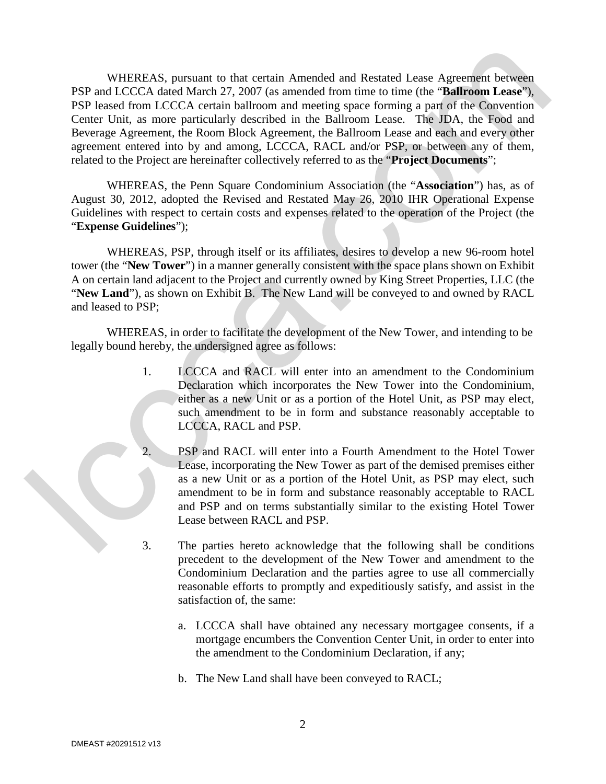WHEREAS, pursuant to that certain Amended and Restated Lease Agreement between PSP and LCCCA dated March 27, 2007 (as amended from time to time (the "**Ballroom Lease**"), PSP leased from LCCCA certain ballroom and meeting space forming a part of the Convention Center Unit, as more particularly described in the Ballroom Lease. The JDA, the Food and Beverage Agreement, the Room Block Agreement, the Ballroom Lease and each and every other agreement entered into by and among, LCCCA, RACL and/or PSP, or between any of them, related to the Project are hereinafter collectively referred to as the "**Project Documents**"; WHEREAS, pursuant to the termin Amended and Restard Lears Agreement beween<br>TSP are leaded from LCCCA neutral politician and meeting sunce forming only and independent<br>of Certa (and Certa in all the model possible in the B

WHEREAS, the Penn Square Condominium Association (the "**Association**") has, as of August 30, 2012, adopted the Revised and Restated May 26, 2010 IHR Operational Expense Guidelines with respect to certain costs and expenses related to the operation of the Project (the "**Expense Guidelines**");

WHEREAS, PSP, through itself or its affiliates, desires to develop a new 96-room hotel tower (the "**New Tower**") in a manner generally consistent with the space plans shown on Exhibit A on certain land adjacent to the Project and currently owned by King Street Properties, LLC (the "**New Land**"), as shown on Exhibit B. The New Land will be conveyed to and owned by RACL and leased to PSP;

WHEREAS, in order to facilitate the development of the New Tower, and intending to be legally bound hereby, the undersigned agree as follows:

- 1. LCCCA and RACL will enter into an amendment to the Condominium Declaration which incorporates the New Tower into the Condominium, either as a new Unit or as a portion of the Hotel Unit, as PSP may elect, such amendment to be in form and substance reasonably acceptable to LCCCA, RACL and PSP.
- 2. PSP and RACL will enter into a Fourth Amendment to the Hotel Tower Lease, incorporating the New Tower as part of the demised premises either as a new Unit or as a portion of the Hotel Unit, as PSP may elect, such amendment to be in form and substance reasonably acceptable to RACL and PSP and on terms substantially similar to the existing Hotel Tower Lease between RACL and PSP.
- 3. The parties hereto acknowledge that the following shall be conditions precedent to the development of the New Tower and amendment to the Condominium Declaration and the parties agree to use all commercially reasonable efforts to promptly and expeditiously satisfy, and assist in the satisfaction of, the same:
	- a. LCCCA shall have obtained any necessary mortgagee consents, if a mortgage encumbers the Convention Center Unit, in order to enter into the amendment to the Condominium Declaration, if any;
	- b. The New Land shall have been conveyed to RACL;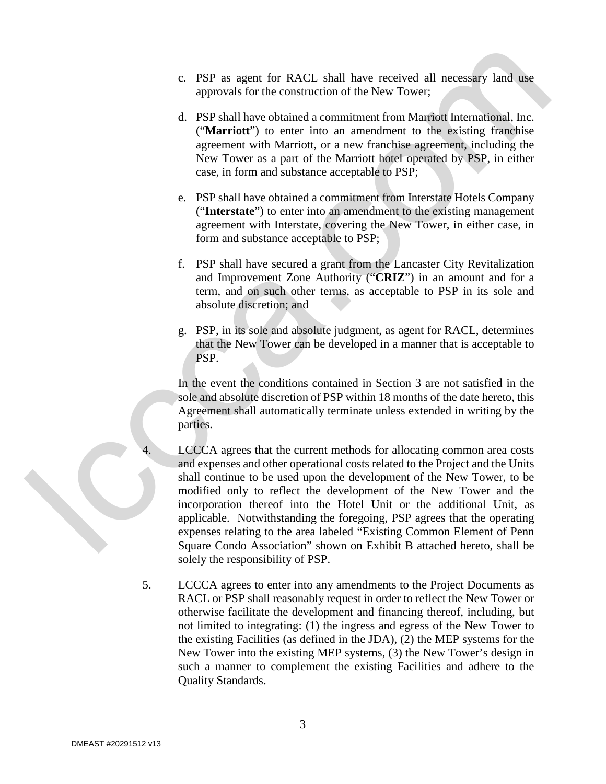- c. PSP as agent for RACL shall have received all necessary land use approvals for the construction of the New Tower;
- d. PSP shall have obtained a commitment from Marriott International, Inc. ("**Marriott**") to enter into an amendment to the existing franchise agreement with Marriott, or a new franchise agreement, including the New Tower as a part of the Marriott hotel operated by PSP, in either case, in form and substance acceptable to PSP;
- e. PSP shall have obtained a commitment from Interstate Hotels Company ("**Interstate**") to enter into an amendment to the existing management agreement with Interstate, covering the New Tower, in either case, in form and substance acceptable to PSP;
- f. PSP shall have secured a grant from the Lancaster City Revitalization and Improvement Zone Authority ("**CRIZ**") in an amount and for a term, and on such other terms, as acceptable to PSP in its sole and absolute discretion; and
- g. PSP, in its sole and absolute judgment, as agent for RACL, determines that the New Tower can be developed in a manner that is acceptable to PSP.

In the event the conditions contained in Section 3 are not satisfied in the sole and absolute discretion of PSP within 18 months of the date hereto, this Agreement shall automatically terminate unless extended in writing by the parties.

- LCCCA agrees that the current methods for allocating common area costs and expenses and other operational costs related to the Project and the Units shall continue to be used upon the development of the New Tower, to be modified only to reflect the development of the New Tower and the incorporation thereof into the Hotel Unit or the additional Unit, as applicable. Notwithstanding the foregoing, PSP agrees that the operating expenses relating to the area labeled "Existing Common Element of Penn Square Condo Association" shown on Exhibit B attached hereto, shall be solely the responsibility of PSP. c. PSP as agent for RACL shall have received all are<br>compromised on the proposition of the New Yorsety and one approach to the construction of the New Yorset<br>d and constrained accomution from Marineal Decision (Marineal D
	- 5. LCCCA agrees to enter into any amendments to the Project Documents as RACL or PSP shall reasonably request in order to reflect the New Tower or otherwise facilitate the development and financing thereof, including, but not limited to integrating: (1) the ingress and egress of the New Tower to the existing Facilities (as defined in the JDA), (2) the MEP systems for the New Tower into the existing MEP systems, (3) the New Tower's design in such a manner to complement the existing Facilities and adhere to the Quality Standards.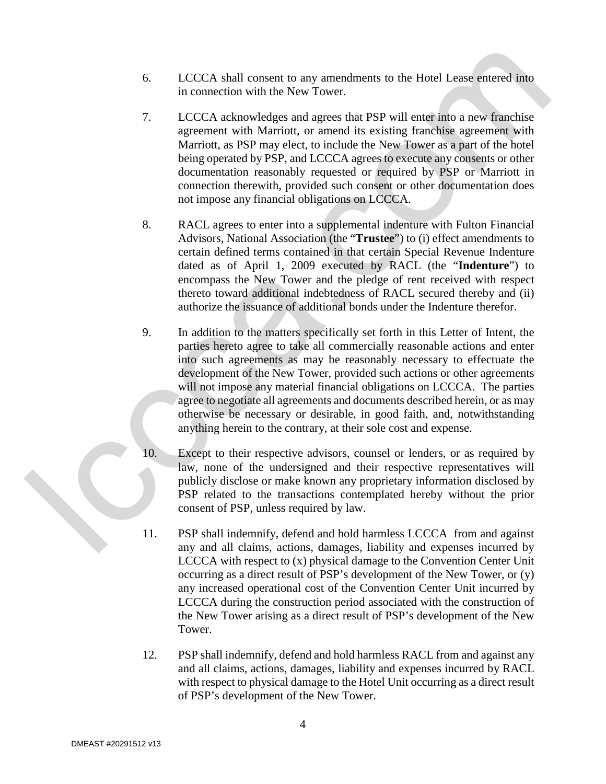- 6. LCCCA shall consent to any amendments to the Hotel Lease entered into in connection with the New Tower.
- 7. LCCCA acknowledges and agrees that PSP will enter into a new franchise agreement with Marriott, or amend its existing franchise agreement with Marriott, as PSP may elect, to include the New Tower as a part of the hotel being operated by PSP, and LCCCA agrees to execute any consents or other documentation reasonably requested or required by PSP or Marriott in connection therewith, provided such consent or other documentation does not impose any financial obligations on LCCCA.
- 8. RACL agrees to enter into a supplemental indenture with Fulton Financial Advisors, National Association (the "**Trustee**") to (i) effect amendments to certain defined terms contained in that certain Special Revenue Indenture dated as of April 1, 2009 executed by RACL (the "**Indenture**") to encompass the New Tower and the pledge of rent received with respect thereto toward additional indebtedness of RACL secured thereby and (ii) authorize the issuance of additional bonds under the Indenture therefor.
- 9. In addition to the matters specifically set forth in this Letter of Intent, the parties hereto agree to take all commercially reasonable actions and enter into such agreements as may be reasonably necessary to effectuate the development of the New Tower, provided such actions or other agreements will not impose any material financial obligations on LCCCA. The parties agree to negotiate all agreements and documents described herein, or as may otherwise be necessary or desirable, in good faith, and, notwithstanding anything herein to the contrary, at their sole cost and expense. 6. LCCCA shall consent to tary unsendences to the Hotel Lease entered into the two two states in the New Yoses.<br>
7. LCCCA acknowledge and agrees that FSP will estuar annow Fingehise<br>
16. compared to the New Yose and agree
	- 10. Except to their respective advisors, counsel or lenders, or as required by law, none of the undersigned and their respective representatives will publicly disclose or make known any proprietary information disclosed by PSP related to the transactions contemplated hereby without the prior consent of PSP, unless required by law.
	- 11. PSP shall indemnify, defend and hold harmless LCCCA from and against any and all claims, actions, damages, liability and expenses incurred by LCCCA with respect to (x) physical damage to the Convention Center Unit occurring as a direct result of PSP's development of the New Tower, or (y) any increased operational cost of the Convention Center Unit incurred by LCCCA during the construction period associated with the construction of the New Tower arising as a direct result of PSP's development of the New Tower.
	- 12. PSP shall indemnify, defend and hold harmless RACL from and against any and all claims, actions, damages, liability and expenses incurred by RACL with respect to physical damage to the Hotel Unit occurring as a direct result of PSP's development of the New Tower.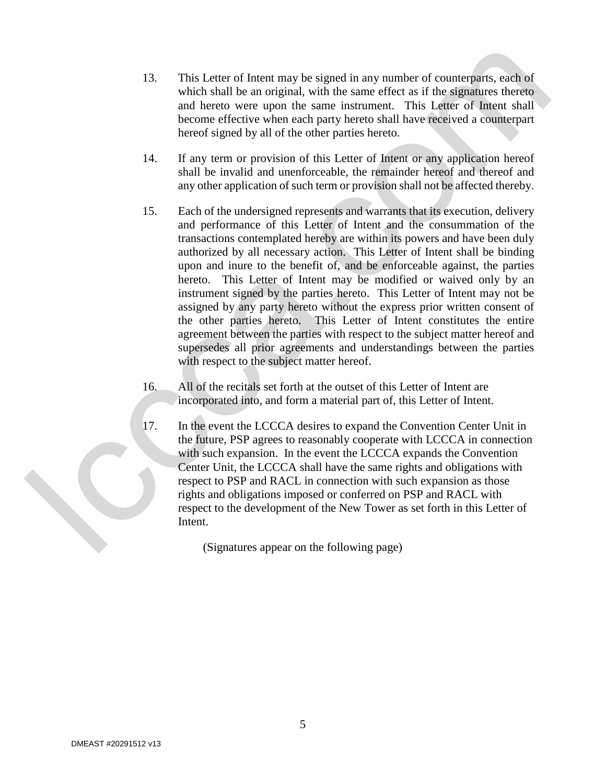- 13. This Letter of Intent may be signed in any number of counterparts, each of which shall be an original, with the same effect as if the signatures thereto and hereto were upon the same instrument. This Letter of Intent shall become effective when each party hereto shall have received a counterpart hereof signed by all of the other parties hereto.
- 14. If any term or provision of this Letter of Intent or any application hereof shall be invalid and unenforceable, the remainder hereof and thereof and any other application of such term or provision shall not be affected thereby.
- 15. Each of the undersigned represents and warrants that its execution, delivery and performance of this Letter of Intent and the consummation of the transactions contemplated hereby are within its powers and have been duly authorized by all necessary action. This Letter of Intent shall be binding upon and inure to the benefit of, and be enforceable against, the parties hereto. This Letter of Intent may be modified or waived only by an instrument signed by the parties hereto. This Letter of Intent may not be assigned by any party hereto without the express prior written consent of the other parties hereto. This Letter of Intent constitutes the entire agreement between the parties with respect to the subject matter hereof and supersedes all prior agreements and understandings between the parties with respect to the subject matter hereof. 13. This Letter of Intent may be signed in any number of countergare, each of<br>notice that the control of the same state with a same of the User<br>gap function and the same state with a same of the User of the User<br>gap funct
	- 16. All of the recitals set forth at the outset of this Letter of Intent are incorporated into, and form a material part of, this Letter of Intent.
	- 17. In the event the LCCCA desires to expand the Convention Center Unit in the future, PSP agrees to reasonably cooperate with LCCCA in connection with such expansion. In the event the LCCCA expands the Convention Center Unit, the LCCCA shall have the same rights and obligations with respect to PSP and RACL in connection with such expansion as those rights and obligations imposed or conferred on PSP and RACL with respect to the development of the New Tower as set forth in this Letter of Intent.

(Signatures appear on the following page)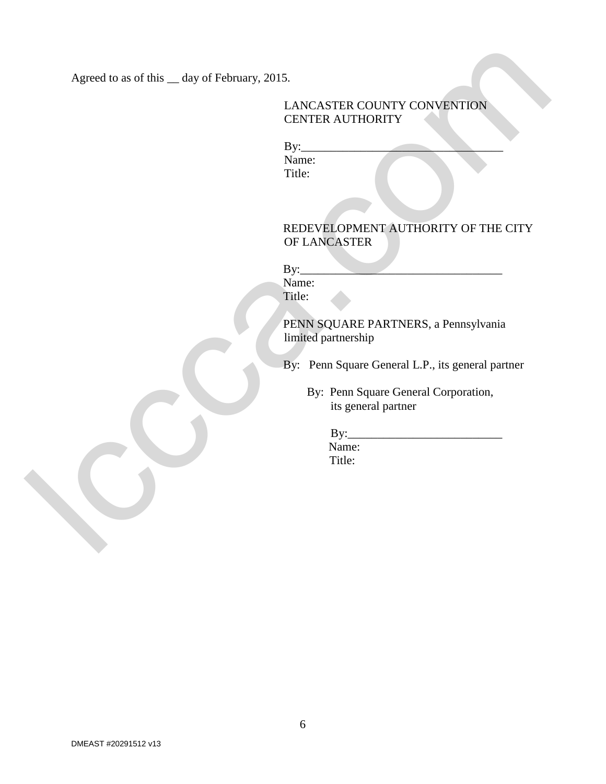Agreed to as of this \_\_ day of February, 2015.

## LANCASTER COUNTY CONVENTION CENTER AUTHORITY

 $By:$ Name: Title:

## REDEVELOPMENT AUTHORITY OF THE CITY OF LANCASTER Agreed to as of this  $\_\_$  day of February, 2015.<br>
LANCASTER COUNTY CONVENTION<br>  $\underset{\text{Manc.}}{\text{RMEV}}$ <br>
Name:<br>
Name:<br>
NAME ALTHORITY ATTHORITY OF THE CITY<br>
OVELANCASTER<br>
FRIES SQUARE PARTNERS. a Pennsylvenia<br>
FRIES SQUARE PA

 $By:$ 

Name: Title:

PENN SQUARE PARTNERS, a Pennsylvania limited partnership

By: Penn Square General L.P., its general partner

 By: Penn Square General Corporation, its general partner

> $By:$  Name: Title: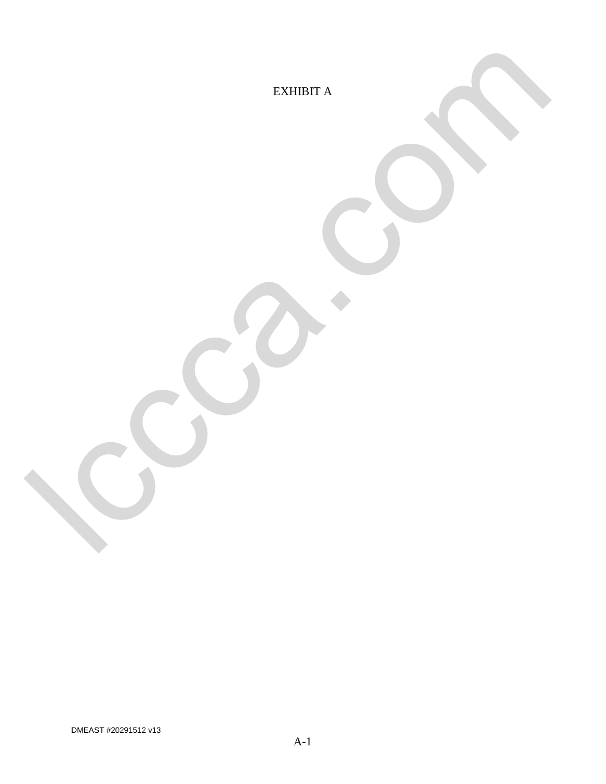EXHIBIT A le comme de

DMEAST #20291512 v13